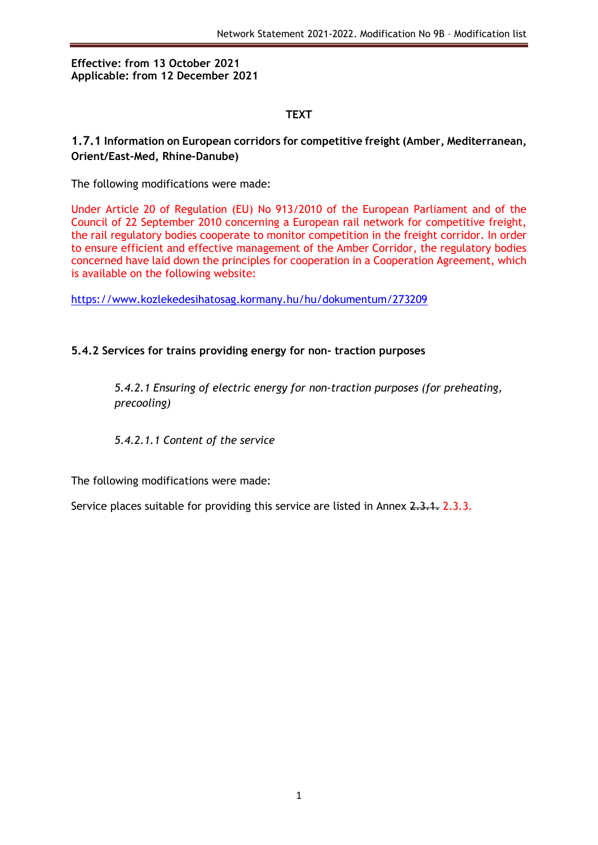#### **Effective: from 13 October 2021 Applicable: from 12 December 2021**

#### **TEXT**

## **1.7.1 Information on European corridors for competitive freight (Amber, Mediterranean, Orient/East-Med, Rhine-Danube)**

The following modifications were made:

Under Article 20 of Regulation (EU) No 913/2010 of the European Parliament and of the Council of 22 September 2010 concerning a European rail network for competitive freight, the rail regulatory bodies cooperate to monitor competition in the freight corridor. In order to ensure efficient and effective management of the Amber Corridor, the regulatory bodies concerned have laid down the principles for cooperation in a Cooperation Agreement, which is available on the following website:

<https://www.kozlekedesihatosag.kormany.hu/hu/dokumentum/273209>

## **5.4.2 Services for trains providing energy for non- traction purposes**

*5.4.2.1 Ensuring of electric energy for non-traction purposes (for preheating, precooling)*

*5.4.2.1.1 Content of the service*

The following modifications were made:

Service places suitable for providing this service are listed in Annex 2.3.1. 2.3.3.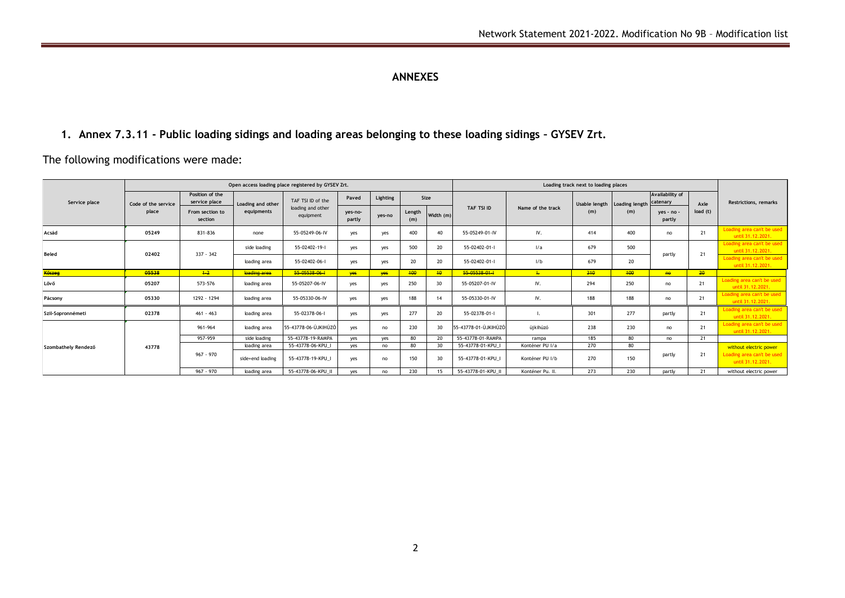# **ANNEXES**

**1. Annex 7.3.11 - Public loading sidings and loading areas belonging to these loading sidings – GYSEV Zrt.**

The following modifications were made:

| Service place       | Open access loading place registered by GYSEV Zrt. |                                  |                                 |                                                     |                   |            |               |           | Loading track next to loading places |                   |               |                |                             |         |                                                   |  |
|---------------------|----------------------------------------------------|----------------------------------|---------------------------------|-----------------------------------------------------|-------------------|------------|---------------|-----------|--------------------------------------|-------------------|---------------|----------------|-----------------------------|---------|---------------------------------------------------|--|
|                     | Code of the service<br>place                       | Position of the<br>service place | Loading and other<br>equipments | TAF TSI ID of the<br>loading and other<br>equipment | Paved             | Lighting   | Size          |           |                                      |                   | Usable length | Loading length | Availability of<br>catenary | Axle    | <b>Restrictions, remarks</b>                      |  |
|                     |                                                    | From section to<br>section       |                                 |                                                     | ves-no-<br>partly | yes-no     | Length<br>(m) | Width (m) | TAF TSI ID                           | Name of the track | (m)           | (m)            | yes - no -<br>partly        | load(t) |                                                   |  |
| Acsád               | 05249                                              | 831-836                          | none                            | 55-05249-06-IV                                      | yes               | yes        | 400           | 40        | 55-05249-01-IV                       | IV.               | 414           | 400            | no                          | 21      | Loading area can't be used<br>until 31.12.2021.   |  |
| <b>Beled</b>        | 02402                                              | $337 - 342$                      | side loading                    | 55-02402-19-1                                       | yes               | yes        | 500           | 20        | 55-02402-01-1                        | 1/a               | 679           | 500            | partly                      | 21      | Loading area can't be used<br>until 31.12.2021.   |  |
|                     |                                                    |                                  | loading area                    | 55-02402-06-1                                       | yes               | yes        | 20            | 20        | 55-02402-01-I                        | 1/b               | 679           | 20             |                             |         | Loading area can't be used<br>until 31.12.2021.   |  |
| Köszeg              | 05538                                              | $+2$                             | loading area                    | 55-05538-06-1                                       | yes               | <b>yes</b> | 400           | 40        | 55-05538-01-1                        | $\pm$             | 310           | 400            | he                          | 20      |                                                   |  |
| Lővő                | 05207                                              | 573-576                          | loading area                    | 55-05207-06-IV                                      | yes               | yes        | 250           | 30        | 55-05207-01-IV                       | IV.               | 294           | 250            | no                          | 21      | Loading area can't be used<br>until 31, 12, 2021. |  |
| Pácsony             | 05330                                              | 1292 - 1294                      | loading area                    | 55-05330-06-IV                                      | yes               | yes        | 188           | 14        | 55-05330-01-IV                       | IV.               | 188           | 188            | no                          | 21      | Loading area can't be used<br>until 31.12.2021.   |  |
| Szil-Sopronnémeti   | 02378                                              | $461 - 463$                      | loading area                    | 55-02378-06-1                                       | yes               | yes        | 277           | 20        | 55-02378-01-1                        |                   | 301           | 277            | partly                      | 21      | Loading area can't be used<br>until 31.12.2021.   |  |
| Szombathely Rendező | 43778                                              | 961-964                          | loading area                    | 55-43778-06-ÚJKIHÚZÓ                                | yes               | no         | 230           | 30        | 55-43778-01-ÚJKIHÚZÓ                 | úikihúzó          | 238           | 230            | no                          | 21      | Loading area can't be used<br>until 31.12.2021.   |  |
|                     |                                                    | 957-959                          | side loading                    | 55-43778-19-RAMPA                                   | yes               | yes        | 80            | 20        | 55-43778-01-RAMPA                    | rampa             | 185           | 80             | no                          | 21      |                                                   |  |
|                     |                                                    | $967 - 970$                      | loading area                    | 55-43778-06-KPU                                     | yes               | no         | 80            | 30        | 55-43778-01-KPU                      | Konténer PU I/a   | 270           | 80             |                             |         | without electric power                            |  |
|                     |                                                    |                                  | side+end loading                | 55-43778-19-KPU I                                   | yes               | no         | 150           | 30        | 55-43778-01-KPU I                    | Konténer PU I/b   | 270           | 150            | partly                      | 21      | Loading area can't be used<br>until 31.12.2021.   |  |
|                     |                                                    | 967 - 970                        | loading area                    | 55-43778-06-KPU_II                                  | yes               | no         | 230           | 15        | 55-43778-01-KPU_II                   | Konténer Pu. II.  | 273           | 230            | partly                      | 21      | without electric power                            |  |